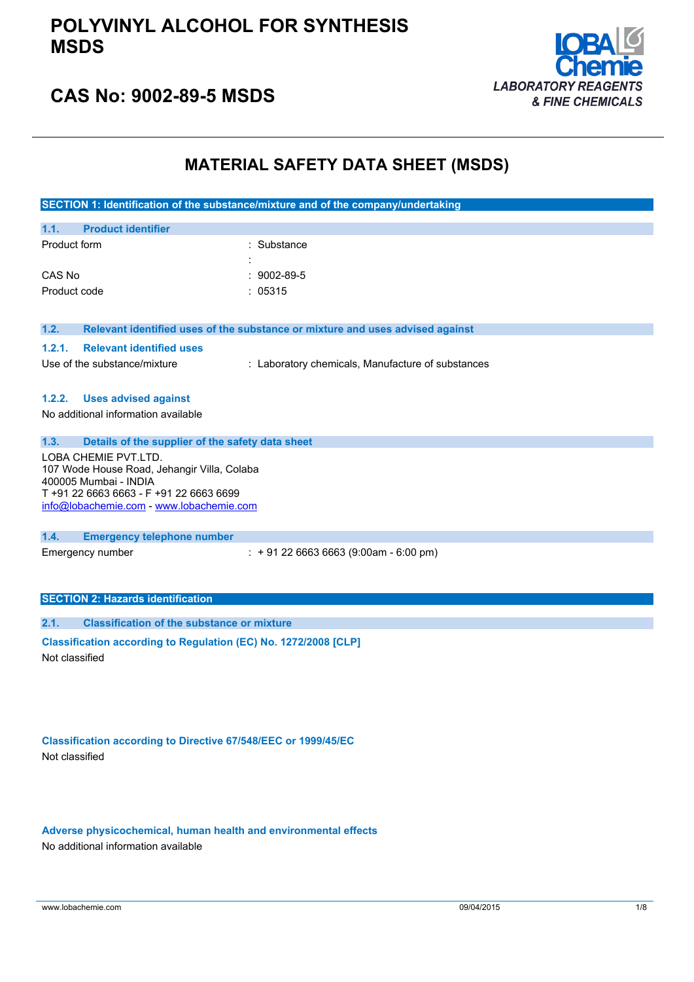### **POLYVINYL ALCOHOL FOR SYNTHESIS MSDS**



## **CAS No: 9002-89-5 MSDS**

### **MATERIAL SAFETY DATA SHEET (MSDS)**

|                                                                                                                                                                                     | SECTION 1: Identification of the substance/mixture and of the company/undertaking |  |
|-------------------------------------------------------------------------------------------------------------------------------------------------------------------------------------|-----------------------------------------------------------------------------------|--|
| <b>Product identifier</b><br>1.1.                                                                                                                                                   |                                                                                   |  |
| Product form                                                                                                                                                                        | : Substance                                                                       |  |
| CAS No                                                                                                                                                                              | $: 9002 - 89 - 5$                                                                 |  |
| Product code                                                                                                                                                                        | : 05315                                                                           |  |
| 1.2.                                                                                                                                                                                | Relevant identified uses of the substance or mixture and uses advised against     |  |
| 1.2.1.<br><b>Relevant identified uses</b>                                                                                                                                           |                                                                                   |  |
| Use of the substance/mixture                                                                                                                                                        | : Laboratory chemicals, Manufacture of substances                                 |  |
| 1.2.2.<br><b>Uses advised against</b>                                                                                                                                               |                                                                                   |  |
| No additional information available                                                                                                                                                 |                                                                                   |  |
| 1.3.<br>Details of the supplier of the safety data sheet                                                                                                                            |                                                                                   |  |
| LOBA CHEMIE PVT.LTD.<br>107 Wode House Road, Jehangir Villa, Colaba<br>400005 Mumbai - INDIA<br>T +91 22 6663 6663 - F +91 22 6663 6699<br>info@lobachemie.com - www.lobachemie.com |                                                                                   |  |
| 1.4.<br><b>Emergency telephone number</b>                                                                                                                                           |                                                                                   |  |
| Emergency number                                                                                                                                                                    | $: +912266636663(9:00am - 6:00 pm)$                                               |  |
| <b>SECTION 2: Hazards identification</b>                                                                                                                                            |                                                                                   |  |
| 2.1.<br><b>Classification of the substance or mixture</b>                                                                                                                           |                                                                                   |  |
| Classification according to Regulation (EC) No. 1272/2008 [CLP]<br>Not classified                                                                                                   |                                                                                   |  |

**Classification according to Directive 67/548/EEC or 1999/45/EC** Not classified

**Adverse physicochemical, human health and environmental effects** No additional information available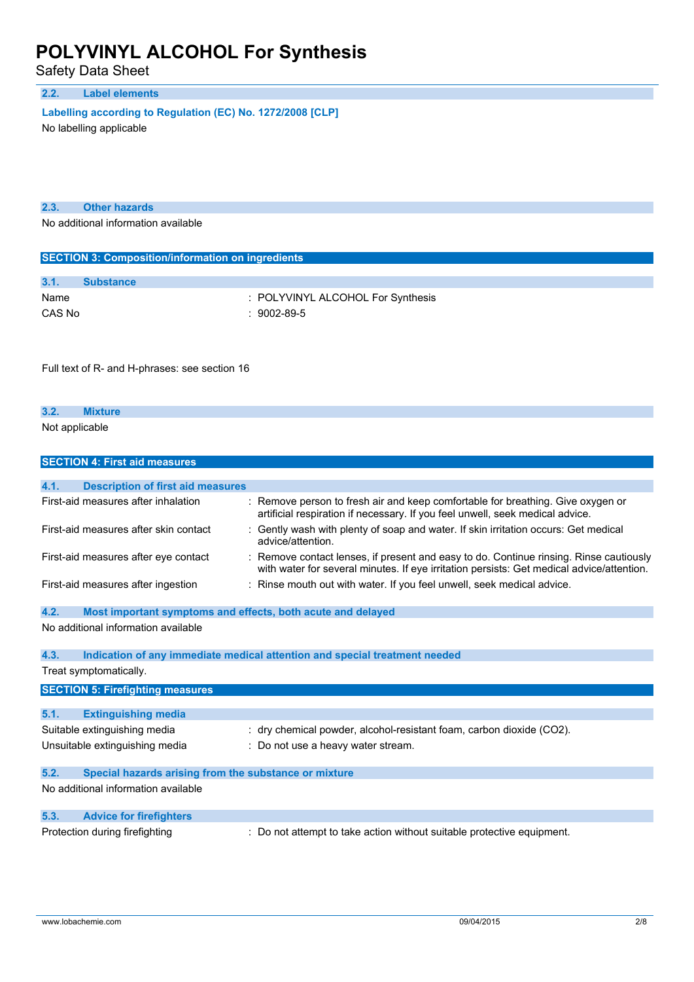Safety Data Sheet

### **2.2. Label elements**

**Labelling according to** Regulation (EC) No. 1272/2008 [CLP]

No labelling applicable

| 2.3. | <b>Other hazards</b> |
|------|----------------------|
|      |                      |

No additional information available

| <b>SECTION 3: Composition/information on ingredients</b> |                                   |  |  |
|----------------------------------------------------------|-----------------------------------|--|--|
|                                                          |                                   |  |  |
| 3.1.                                                     | <b>Substance</b>                  |  |  |
| Name                                                     | : POLYVINYL ALCOHOL For Synthesis |  |  |
| CAS No                                                   | $:9002-89-5$                      |  |  |

Full text of R- and H-phrases: see section 16

| 3.2.           |  |  |  |
|----------------|--|--|--|
| Not applicable |  |  |  |

|      | <b>SECTION 4: First aid measures</b>                        |                                                                                                                                                                                   |
|------|-------------------------------------------------------------|-----------------------------------------------------------------------------------------------------------------------------------------------------------------------------------|
|      |                                                             |                                                                                                                                                                                   |
| 4.1. | <b>Description of first aid measures</b>                    |                                                                                                                                                                                   |
|      | First-aid measures after inhalation                         | Remove person to fresh air and keep comfortable for breathing. Give oxygen or<br>artificial respiration if necessary. If you feel unwell, seek medical advice.                    |
|      | First-aid measures after skin contact                       | Gently wash with plenty of soap and water. If skin irritation occurs: Get medical<br>advice/attention.                                                                            |
|      | First-aid measures after eye contact                        | Remove contact lenses, if present and easy to do. Continue rinsing. Rinse cautiously<br>with water for several minutes. If eye irritation persists: Get medical advice/attention. |
|      | First-aid measures after ingestion                          | Rinse mouth out with water. If you feel unwell, seek medical advice.                                                                                                              |
| 4.2. | Most important symptoms and effects, both acute and delayed |                                                                                                                                                                                   |
|      | No additional information available                         |                                                                                                                                                                                   |
| 4.3. |                                                             | Indication of any immediate medical attention and special treatment needed                                                                                                        |
|      | Treat symptomatically.                                      |                                                                                                                                                                                   |
|      | <b>SECTION 5: Firefighting measures</b>                     |                                                                                                                                                                                   |
|      |                                                             |                                                                                                                                                                                   |
| 5.1. | <b>Extinguishing media</b>                                  |                                                                                                                                                                                   |
|      | Suitable extinguishing media                                | : dry chemical powder, alcohol-resistant foam, carbon dioxide (CO2).                                                                                                              |
|      | Unsuitable extinguishing media                              | Do not use a heavy water stream.                                                                                                                                                  |
| 5.2. | Special hazards arising from the substance or mixture       |                                                                                                                                                                                   |
|      | No additional information available                         |                                                                                                                                                                                   |
| 5.3. | <b>Advice for firefighters</b>                              |                                                                                                                                                                                   |
|      | Protection during firefighting                              | Do not attempt to take action without suitable protective equipment.                                                                                                              |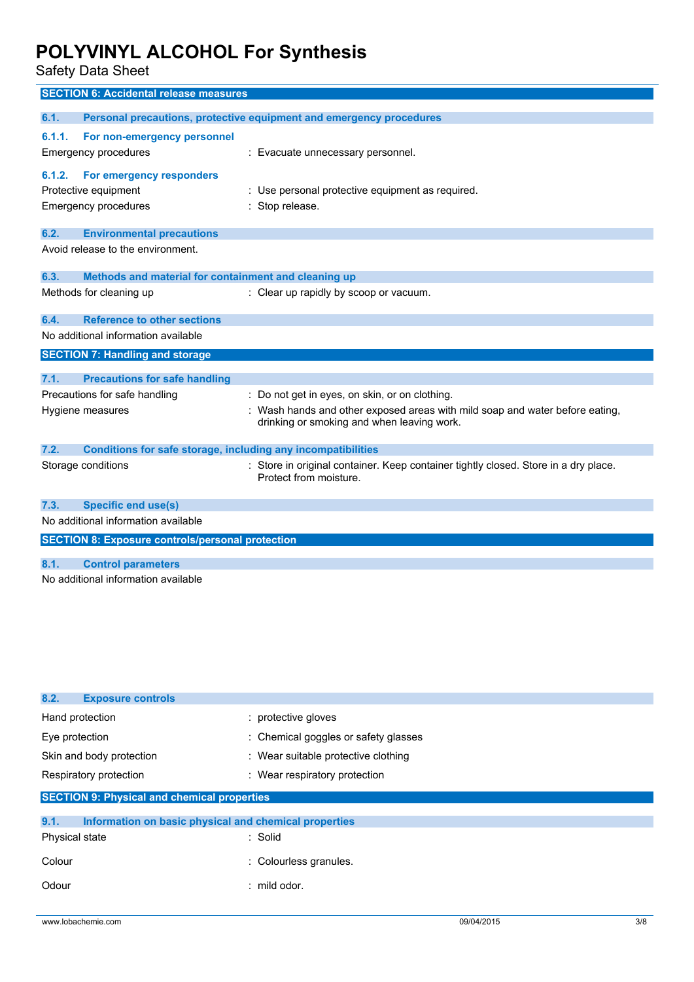Safety Data Sheet

|                  | <b>SECTION 6: Accidental release measures</b>                                   |                                                                                                                            |
|------------------|---------------------------------------------------------------------------------|----------------------------------------------------------------------------------------------------------------------------|
| 6.1.             |                                                                                 | Personal precautions, protective equipment and emergency procedures                                                        |
| 6.1.1.<br>6.1.2. | For non-emergency personnel<br>Emergency procedures<br>For emergency responders | : Evacuate unnecessary personnel.                                                                                          |
|                  | Protective equipment                                                            | Use personal protective equipment as required.                                                                             |
|                  | Emergency procedures                                                            | Stop release.                                                                                                              |
| 6.2.             | <b>Environmental precautions</b>                                                |                                                                                                                            |
|                  | Avoid release to the environment.                                               |                                                                                                                            |
| 6.3.             | Methods and material for containment and cleaning up                            |                                                                                                                            |
|                  | Methods for cleaning up                                                         | : Clear up rapidly by scoop or vacuum.                                                                                     |
| 6.4.             | <b>Reference to other sections</b>                                              |                                                                                                                            |
|                  | No additional information available                                             |                                                                                                                            |
|                  | <b>SECTION 7: Handling and storage</b>                                          |                                                                                                                            |
| 7.1.             | <b>Precautions for safe handling</b>                                            |                                                                                                                            |
|                  | Precautions for safe handling                                                   | Do not get in eyes, on skin, or on clothing.                                                                               |
|                  | Hygiene measures                                                                | : Wash hands and other exposed areas with mild soap and water before eating,<br>drinking or smoking and when leaving work. |
| 7.2.             | Conditions for safe storage, including any incompatibilities                    |                                                                                                                            |
|                  | Storage conditions                                                              | : Store in original container. Keep container tightly closed. Store in a dry place.<br>Protect from moisture.              |
| 7.3.             | <b>Specific end use(s)</b>                                                      |                                                                                                                            |
|                  | No additional information available                                             |                                                                                                                            |
|                  | <b>SECTION 8: Exposure controls/personal protection</b>                         |                                                                                                                            |
| 8.1.             | <b>Control parameters</b>                                                       |                                                                                                                            |
|                  | No additional information available                                             |                                                                                                                            |

| 8.2.<br><b>Exposure controls</b>                              |                                      |
|---------------------------------------------------------------|--------------------------------------|
| Hand protection                                               | : protective gloves                  |
| Eye protection                                                | : Chemical goggles or safety glasses |
| Skin and body protection                                      | : Wear suitable protective clothing  |
| Respiratory protection                                        | : Wear respiratory protection        |
| <b>SECTION 9: Physical and chemical properties</b>            |                                      |
| 9.1.<br>Information on basic physical and chemical properties |                                      |
| Physical state                                                | : Solid                              |
| Colour                                                        | : Colourless granules.               |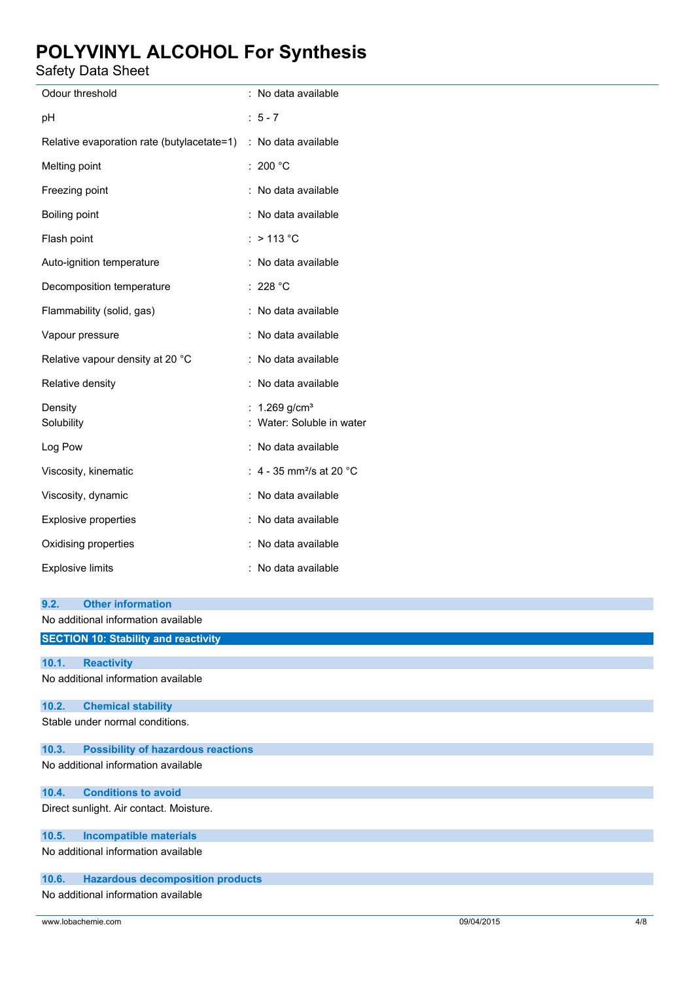Safety Data Sheet

| Odour threshold                                                                         | : No data available                                    |
|-----------------------------------------------------------------------------------------|--------------------------------------------------------|
| рH                                                                                      | $: 5 - 7$                                              |
| Relative evaporation rate (butylacetate=1) : No data available                          |                                                        |
| Melting point                                                                           | : 200 $^{\circ}$ C                                     |
| Freezing point                                                                          | : No data available                                    |
| Boiling point                                                                           | : No data available                                    |
| Flash point                                                                             | $:$ > 113 °C                                           |
| Auto-ignition temperature                                                               | : No data available                                    |
| Decomposition temperature                                                               | : 228 $^{\circ}$ C                                     |
| Flammability (solid, gas)                                                               | : No data available                                    |
| Vapour pressure                                                                         | : No data available                                    |
| Relative vapour density at 20 °C                                                        | : No data available                                    |
| Relative density                                                                        | : No data available                                    |
| Density<br>Solubility                                                                   | : $1.269$ g/cm <sup>3</sup><br>Water: Soluble in water |
| Log Pow                                                                                 | : No data available                                    |
| Viscosity, kinematic                                                                    | : 4 - 35 mm <sup>2</sup> /s at 20 $^{\circ}$ C         |
| Viscosity, dynamic                                                                      | : No data available                                    |
| Explosive properties                                                                    | : No data available                                    |
| Oxidising properties                                                                    | : No data available                                    |
| <b>Explosive limits</b>                                                                 | : No data available                                    |
| <b>Other information</b><br>9.2.<br>No additional information available                 |                                                        |
| <b>SECTION 10: Stability and reactivity</b>                                             |                                                        |
| 10.1.<br><b>Reactivity</b><br>No additional information available                       |                                                        |
|                                                                                         |                                                        |
| 10.2.<br><b>Chemical stability</b><br>Stable under normal conditions.                   |                                                        |
| 10.3.<br><b>Possibility of hazardous reactions</b>                                      |                                                        |
| No additional information available                                                     |                                                        |
| <b>Conditions to avoid</b><br>10.4.<br>Direct sunlight. Air contact. Moisture.          |                                                        |
| <b>Incompatible materials</b><br>10.5.                                                  |                                                        |
| No additional information available                                                     |                                                        |
| <b>Hazardous decomposition products</b><br>10.6.<br>No additional information available |                                                        |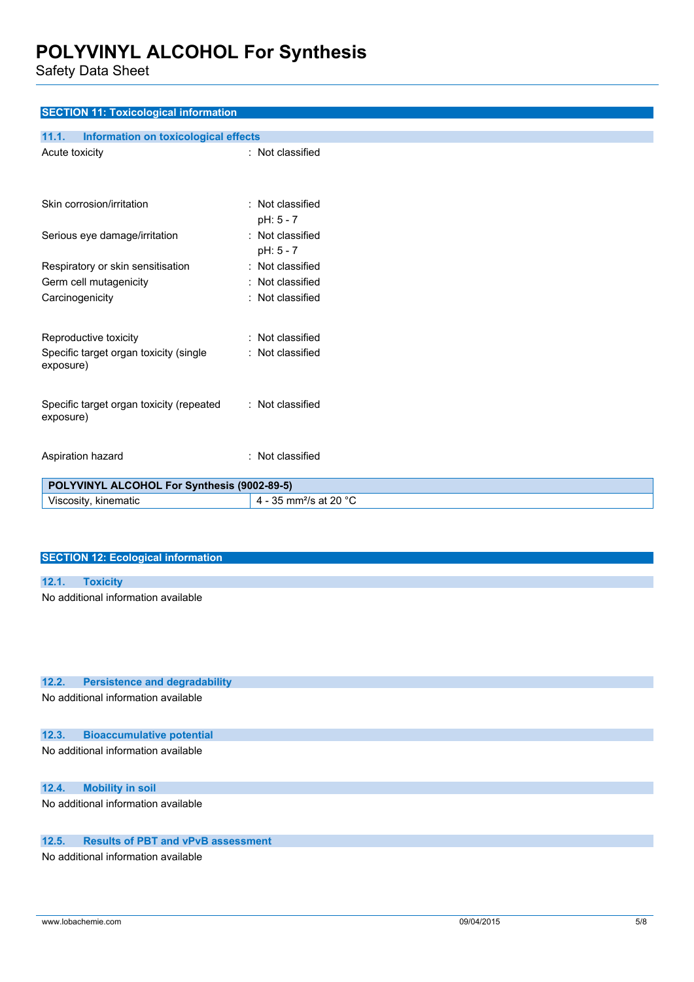Safety Data Sheet

| <b>SECTION 11: Toxicological information</b>                    |                                         |
|-----------------------------------------------------------------|-----------------------------------------|
| 11.1.<br><b>Information on toxicological effects</b>            |                                         |
| Acute toxicity                                                  | : Not classified                        |
|                                                                 |                                         |
|                                                                 |                                         |
| Skin corrosion/irritation                                       | : Not classified                        |
|                                                                 | pH: 5 - 7                               |
| Serious eye damage/irritation                                   | : Not classified                        |
|                                                                 | pH: 5 - 7                               |
| Respiratory or skin sensitisation                               | : Not classified                        |
| Germ cell mutagenicity<br>Carcinogenicity                       | Not classified<br>÷<br>: Not classified |
|                                                                 |                                         |
|                                                                 |                                         |
| Reproductive toxicity                                           | : Not classified                        |
| Specific target organ toxicity (single<br>exposure)             | : Not classified                        |
|                                                                 |                                         |
|                                                                 |                                         |
| Specific target organ toxicity (repeated<br>exposure)           | : Not classified                        |
|                                                                 |                                         |
|                                                                 | : Not classified                        |
| Aspiration hazard                                               |                                         |
| POLYVINYL ALCOHOL For Synthesis (9002-89-5)                     |                                         |
| Viscosity, kinematic                                            | 4 - 35 mm <sup>2</sup> /s at 20 °C      |
|                                                                 |                                         |
|                                                                 |                                         |
| <b>SECTION 12: Ecological information</b>                       |                                         |
|                                                                 |                                         |
| <b>Toxicity</b><br>12.1.<br>No additional information available |                                         |
|                                                                 |                                         |
|                                                                 |                                         |
|                                                                 |                                         |
|                                                                 |                                         |
| 12.2.<br><b>Persistence and degradability</b>                   |                                         |
| No additional information available                             |                                         |
|                                                                 |                                         |
| 12.3.<br><b>Bioaccumulative potential</b>                       |                                         |
| No additional information available                             |                                         |

**12.4. Mobility in soil**

No additional information available

### **12.5. Results of PBT and vPvB assessment**

No additional information available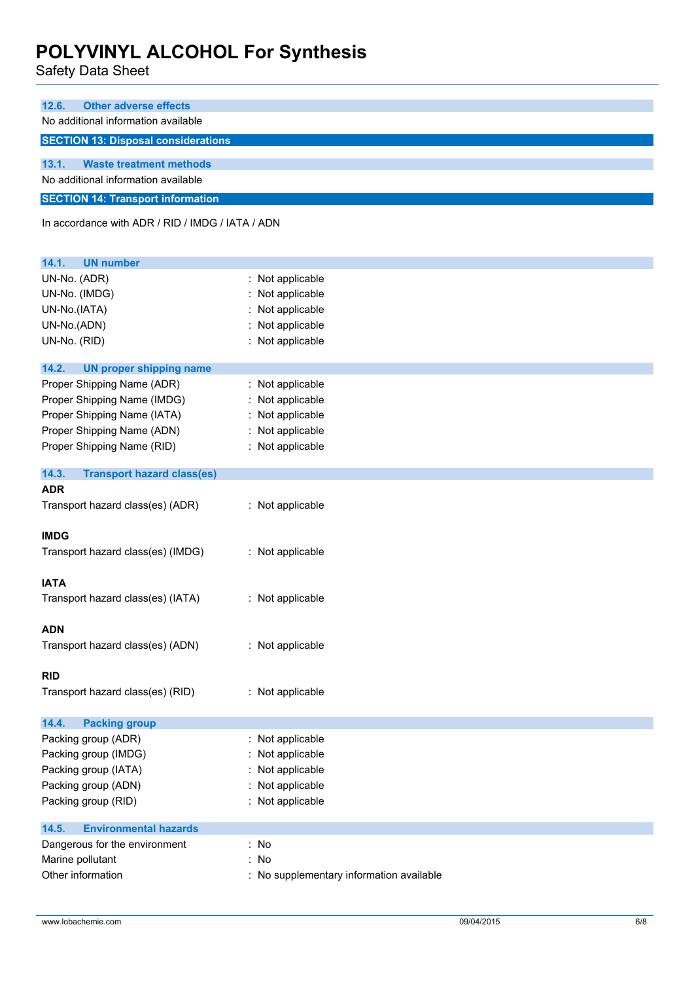Safety Data Sheet

| 12.6. | <b>Other adverse effects</b>               |
|-------|--------------------------------------------|
|       | No additional information available        |
|       | <b>SECTION 13: Disposal considerations</b> |
|       |                                            |
| 13.1. | <b>Waste treatment methods</b>             |
|       | No additional information available        |
|       | <b>SECTION 14: Transport information</b>   |

In accordance with ADR / RID / IMDG / IATA / ADN

| 14.1.<br><b>UN number</b>                  |                                          |
|--------------------------------------------|------------------------------------------|
| UN-No. (ADR)                               | : Not applicable                         |
| UN-No. (IMDG)                              | Not applicable                           |
| UN-No.(IATA)                               | Not applicable                           |
| UN-No.(ADN)                                | Not applicable                           |
| UN-No. (RID)                               | : Not applicable                         |
| 14.2.<br><b>UN proper shipping name</b>    |                                          |
| Proper Shipping Name (ADR)                 | : Not applicable                         |
| Proper Shipping Name (IMDG)                | Not applicable                           |
| Proper Shipping Name (IATA)                | Not applicable                           |
| Proper Shipping Name (ADN)                 | : Not applicable                         |
| Proper Shipping Name (RID)                 | : Not applicable                         |
| 14.3.<br><b>Transport hazard class(es)</b> |                                          |
| <b>ADR</b>                                 |                                          |
| Transport hazard class(es) (ADR)           | : Not applicable                         |
| <b>IMDG</b>                                |                                          |
| Transport hazard class(es) (IMDG)          | : Not applicable                         |
| <b>IATA</b>                                |                                          |
| Transport hazard class(es) (IATA)          | : Not applicable                         |
| <b>ADN</b>                                 |                                          |
| Transport hazard class(es) (ADN)           | : Not applicable                         |
| <b>RID</b>                                 |                                          |
| Transport hazard class(es) (RID)           | : Not applicable                         |
| 14.4.<br><b>Packing group</b>              |                                          |
| Packing group (ADR)                        | Not applicable                           |
| Packing group (IMDG)                       | Not applicable                           |
| Packing group (IATA)                       | Not applicable                           |
| Packing group (ADN)                        | : Not applicable                         |
| Packing group (RID)                        | : Not applicable                         |
| 14.5.<br><b>Environmental hazards</b>      |                                          |
| Dangerous for the environment              | : No                                     |
| Marine pollutant                           | : No                                     |
| Other information                          | : No supplementary information available |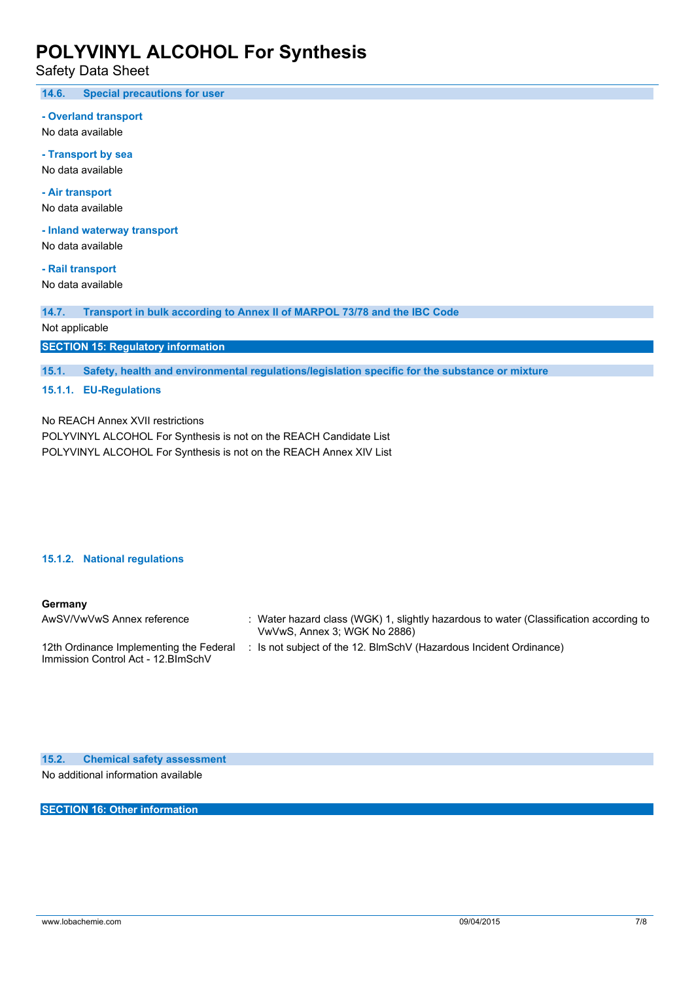Safety Data Sheet

**14.6. Special precautions for user**

#### **- Overland transport**

No data available

**- Transport by sea** No data available

**- Air transport** No data available

**- Inland waterway transport**

No data available

**- Rail transport** No data available

**14.7. Transport in bulk according to Annex II of MARPOL 73/78 and the IBC Code**

Not applicable

**SECTION 15: Regulatory information**

**15.1. Safety, health and environmental regulations/legislation specific for the substance or mixture**

### **15.1.1. EU-Regulations**

No REACH Annex XVII restrictions

POLYVINYL ALCOHOL For Synthesis is not on the REACH Candidate List POLYVINYL ALCOHOL For Synthesis is not on the REACH Annex XIV List

#### **15.1.2. National regulations**

### **Germany**

| AwSV/VwVwS Annex reference                                                     | : Water hazard class (WGK) 1, slightly hazardous to water (Classification according to<br>VwVwS, Annex 3; WGK No 2886) |
|--------------------------------------------------------------------------------|------------------------------------------------------------------------------------------------------------------------|
| 12th Ordinance Implementing the Federal<br>Immission Control Act - 12. BlmSchV | : Is not subject of the 12. BlmSchV (Hazardous Incident Ordinance)                                                     |

**15.2. Chemical safety assessment** No additional information available

**SECTION 16: Other information**